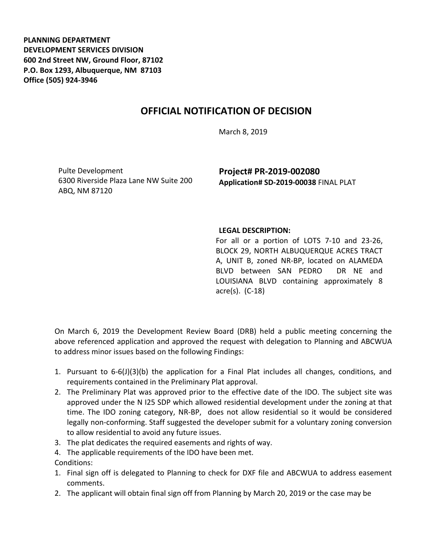**PLANNING DEPARTMENT DEVELOPMENT SERVICES DIVISION 600 2nd Street NW, Ground Floor, 87102 P.O. Box 1293, Albuquerque, NM 87103 Office (505) 924-3946** 

## **OFFICIAL NOTIFICATION OF DECISION**

March 8, 2019

Pulte Development 6300 Riverside Plaza Lane NW Suite 200 ABQ, NM 87120

**Project# PR-2019-002080 Application# SD-2019-00038** FINAL PLAT

## **LEGAL DESCRIPTION:**

For all or a portion of LOTS 7-10 and 23-26, BLOCK 29, NORTH ALBUQUERQUE ACRES TRACT A, UNIT B, zoned NR-BP, located on ALAMEDA BLVD between SAN PEDRO DR NE and LOUISIANA BLVD containing approximately 8 acre(s). (C-18)

On March 6, 2019 the Development Review Board (DRB) held a public meeting concerning the above referenced application and approved the request with delegation to Planning and ABCWUA to address minor issues based on the following Findings:

- 1. Pursuant to 6-6(J)(3)(b) the application for a Final Plat includes all changes, conditions, and requirements contained in the Preliminary Plat approval.
- 2. The Preliminary Plat was approved prior to the effective date of the IDO. The subject site was approved under the N I25 SDP which allowed residential development under the zoning at that time. The IDO zoning category, NR-BP, does not allow residential so it would be considered legally non-conforming. Staff suggested the developer submit for a voluntary zoning conversion to allow residential to avoid any future issues.
- 3. The plat dedicates the required easements and rights of way.
- 4. The applicable requirements of the IDO have been met.
- Conditions:
- 1. Final sign off is delegated to Planning to check for DXF file and ABCWUA to address easement comments.
- 2. The applicant will obtain final sign off from Planning by March 20, 2019 or the case may be